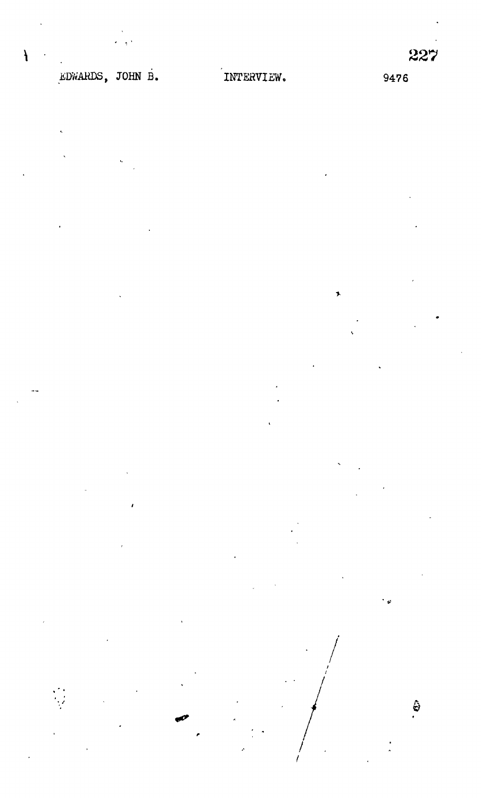$\ddot{\Theta}$ 

## EDWARDS, JOHN B.

 $\lambda$ 

INTERVIEW.

9476

 $\bullet$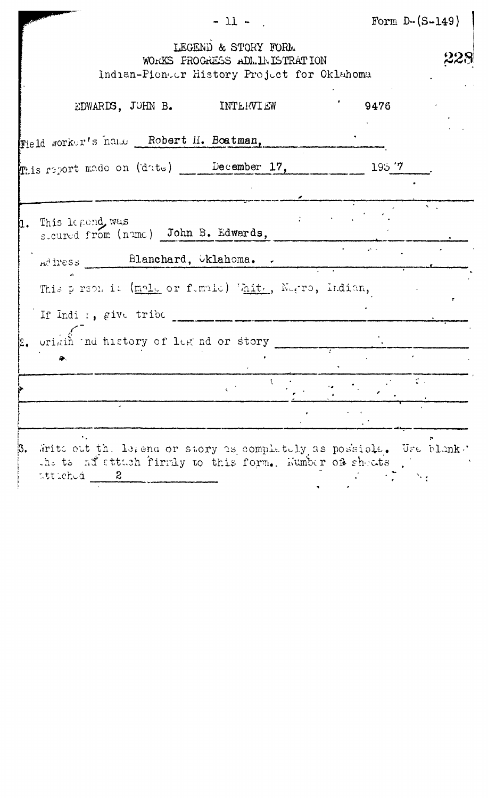|    | $-11 -$                                                                                                                                                                | Form $D-(S-149)$ |  |
|----|------------------------------------------------------------------------------------------------------------------------------------------------------------------------|------------------|--|
|    | LEGEND & STORY FORM<br>WORKS FROGRESS ADLINISTRATION<br>Indian-Pioneer History Project for Oklahoma                                                                    |                  |  |
|    | EDWARDS, JOHN B. INTERVIEW                                                                                                                                             | 9476             |  |
|    | Field worker's name Robert H. Boatman,                                                                                                                                 |                  |  |
|    | mais report made on (date) __ December 17,                                                                                                                             | 195.77           |  |
|    |                                                                                                                                                                        |                  |  |
|    | This legond, was<br>sicured from (nume) John B. Edwards,                                                                                                               |                  |  |
|    | Address Blanchard, Oklahoma.                                                                                                                                           |                  |  |
|    | This preon it (male or funale) White, Negro, Indian,                                                                                                                   |                  |  |
|    | If Indi :, give tribe                                                                                                                                                  |                  |  |
|    | uriain and history of leg nd or story                                                                                                                                  |                  |  |
|    |                                                                                                                                                                        |                  |  |
|    |                                                                                                                                                                        |                  |  |
|    |                                                                                                                                                                        |                  |  |
| з. | Write out the leaden or story as completely as possible. Use blank.<br>the ts ad attach firmly to this form. Wumber of sheats<br>ittichuá <sub>a</sub><br>$\mathbf{2}$ |                  |  |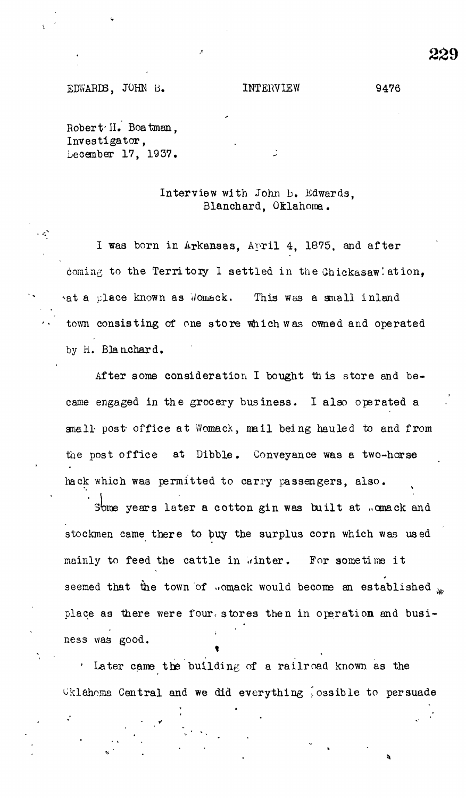## EDWARDS, JOHN B. INTERVIEW 9476

Robert'H, Boatman, Investigator, Lecember 17, 1937.

Ä,

## Interview with John b. Edwards, Blanchard, Oklahoma.

I was born in Arkansas, April 4, 1875, and after coming to the Territory I settled in the Chickasaw' ation, ^at a place known as Womack. This was a small inland town consisting of one store which was owned and operated by H. Blanchard.

After some consideration I bought this store and became engaged in the grocery business. I also operated a small post office at Womack, mail being hauled to and from the post office at Dibble. Conveyance was a two-horse hack which was permitted to carry passengers, also.

Some years later a cotton gin was built at ..omack and stockmen came there to buy the surplus corn which was used mainly to feed the cattle in winter. For sometime it seemed that the town of somack would become an established  $\mathbb{R}$ place as there were four, stores then in operation and business was good.

 $\cdot$  Later came the building of a railroad known as the  $\texttt{Uklahoma}$  Central and we did everything possible to persuade

229